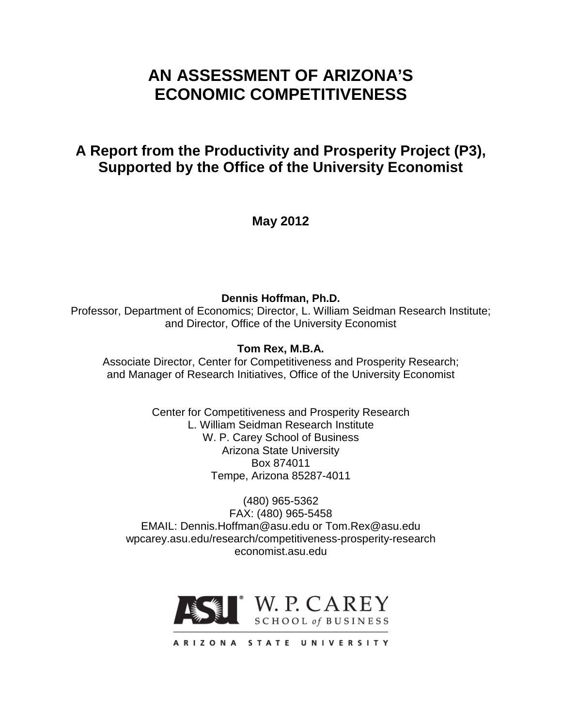# **AN ASSESSMENT OF ARIZONA'S ECONOMIC COMPETITIVENESS**

# **A Report from the Productivity and Prosperity Project (P3), Supported by the Office of the University Economist**

**May 2012**

**Dennis Hoffman, Ph.D.** Professor, Department of Economics; Director, L. William Seidman Research Institute; and Director, Office of the University Economist

# **Tom Rex, M.B.A.**

Associate Director, Center for Competitiveness and Prosperity Research; and Manager of Research Initiatives, Office of the University Economist

> Center for Competitiveness and Prosperity Research L. William Seidman Research Institute W. P. Carey School of Business Arizona State University Box 874011 Tempe, Arizona 85287-4011

(480) 965-5362 FAX: (480) 965-5458 EMAIL: Dennis.Hoffman@asu.edu or Tom.Rex@asu.edu wpcarey.asu.edu/research/competitiveness-prosperity-research economist.asu.edu



ARIZONA STATE UNIVERSITY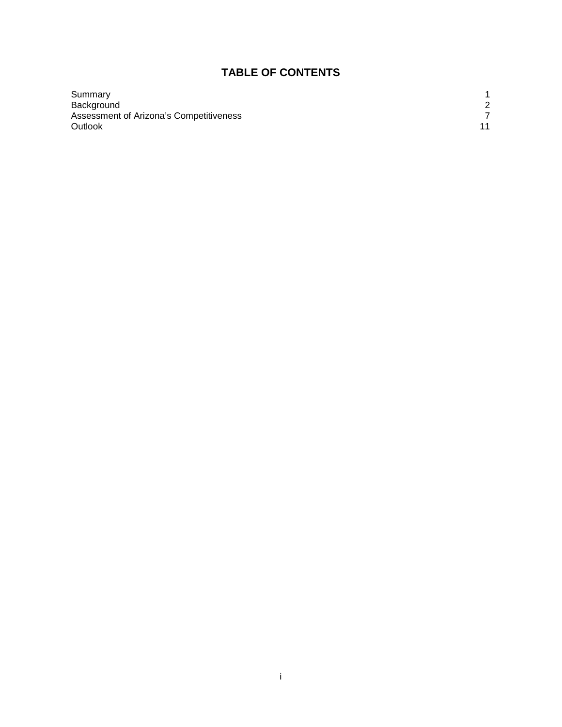# **TABLE OF CONTENTS**

| Summary                                 |  |
|-----------------------------------------|--|
| Background                              |  |
| Assessment of Arizona's Competitiveness |  |
| Outlook                                 |  |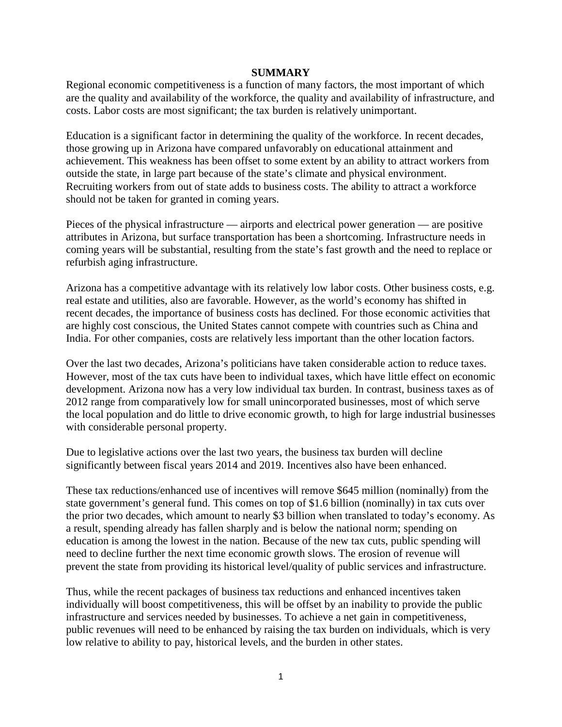#### **SUMMARY**

Regional economic competitiveness is a function of many factors, the most important of which are the quality and availability of the workforce, the quality and availability of infrastructure, and costs. Labor costs are most significant; the tax burden is relatively unimportant.

Education is a significant factor in determining the quality of the workforce. In recent decades, those growing up in Arizona have compared unfavorably on educational attainment and achievement. This weakness has been offset to some extent by an ability to attract workers from outside the state, in large part because of the state's climate and physical environment. Recruiting workers from out of state adds to business costs. The ability to attract a workforce should not be taken for granted in coming years.

Pieces of the physical infrastructure — airports and electrical power generation — are positive attributes in Arizona, but surface transportation has been a shortcoming. Infrastructure needs in coming years will be substantial, resulting from the state's fast growth and the need to replace or refurbish aging infrastructure.

Arizona has a competitive advantage with its relatively low labor costs. Other business costs, e.g. real estate and utilities, also are favorable. However, as the world's economy has shifted in recent decades, the importance of business costs has declined. For those economic activities that are highly cost conscious, the United States cannot compete with countries such as China and India. For other companies, costs are relatively less important than the other location factors.

Over the last two decades, Arizona's politicians have taken considerable action to reduce taxes. However, most of the tax cuts have been to individual taxes, which have little effect on economic development. Arizona now has a very low individual tax burden. In contrast, business taxes as of 2012 range from comparatively low for small unincorporated businesses, most of which serve the local population and do little to drive economic growth, to high for large industrial businesses with considerable personal property.

Due to legislative actions over the last two years, the business tax burden will decline significantly between fiscal years 2014 and 2019. Incentives also have been enhanced.

These tax reductions/enhanced use of incentives will remove \$645 million (nominally) from the state government's general fund. This comes on top of \$1.6 billion (nominally) in tax cuts over the prior two decades, which amount to nearly \$3 billion when translated to today's economy. As a result, spending already has fallen sharply and is below the national norm; spending on education is among the lowest in the nation. Because of the new tax cuts, public spending will need to decline further the next time economic growth slows. The erosion of revenue will prevent the state from providing its historical level/quality of public services and infrastructure.

Thus, while the recent packages of business tax reductions and enhanced incentives taken individually will boost competitiveness, this will be offset by an inability to provide the public infrastructure and services needed by businesses. To achieve a net gain in competitiveness, public revenues will need to be enhanced by raising the tax burden on individuals, which is very low relative to ability to pay, historical levels, and the burden in other states.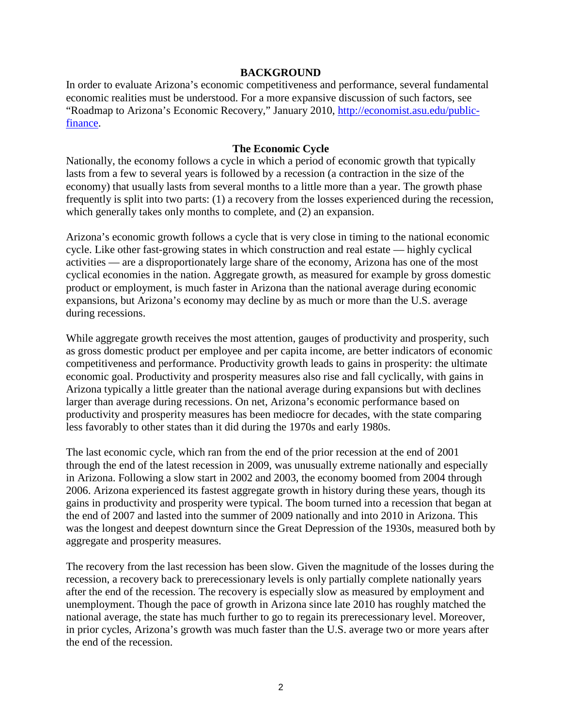#### **BACKGROUND**

In order to evaluate Arizona's economic competitiveness and performance, several fundamental economic realities must be understood. For a more expansive discussion of such factors, see "Roadmap to Arizona's Economic Recovery," January 2010, [http://economist.asu.edu/public](http://economist.asu.edu/public-finance)[finance.](http://economist.asu.edu/public-finance)

#### **The Economic Cycle**

Nationally, the economy follows a cycle in which a period of economic growth that typically lasts from a few to several years is followed by a recession (a contraction in the size of the economy) that usually lasts from several months to a little more than a year. The growth phase frequently is split into two parts: (1) a recovery from the losses experienced during the recession, which generally takes only months to complete, and  $(2)$  an expansion.

Arizona's economic growth follows a cycle that is very close in timing to the national economic cycle. Like other fast-growing states in which construction and real estate — highly cyclical activities — are a disproportionately large share of the economy, Arizona has one of the most cyclical economies in the nation. Aggregate growth, as measured for example by gross domestic product or employment, is much faster in Arizona than the national average during economic expansions, but Arizona's economy may decline by as much or more than the U.S. average during recessions.

While aggregate growth receives the most attention, gauges of productivity and prosperity, such as gross domestic product per employee and per capita income, are better indicators of economic competitiveness and performance. Productivity growth leads to gains in prosperity: the ultimate economic goal. Productivity and prosperity measures also rise and fall cyclically, with gains in Arizona typically a little greater than the national average during expansions but with declines larger than average during recessions. On net, Arizona's economic performance based on productivity and prosperity measures has been mediocre for decades, with the state comparing less favorably to other states than it did during the 1970s and early 1980s.

The last economic cycle, which ran from the end of the prior recession at the end of 2001 through the end of the latest recession in 2009, was unusually extreme nationally and especially in Arizona. Following a slow start in 2002 and 2003, the economy boomed from 2004 through 2006. Arizona experienced its fastest aggregate growth in history during these years, though its gains in productivity and prosperity were typical. The boom turned into a recession that began at the end of 2007 and lasted into the summer of 2009 nationally and into 2010 in Arizona. This was the longest and deepest downturn since the Great Depression of the 1930s, measured both by aggregate and prosperity measures.

The recovery from the last recession has been slow. Given the magnitude of the losses during the recession, a recovery back to prerecessionary levels is only partially complete nationally years after the end of the recession. The recovery is especially slow as measured by employment and unemployment. Though the pace of growth in Arizona since late 2010 has roughly matched the national average, the state has much further to go to regain its prerecessionary level. Moreover, in prior cycles, Arizona's growth was much faster than the U.S. average two or more years after the end of the recession.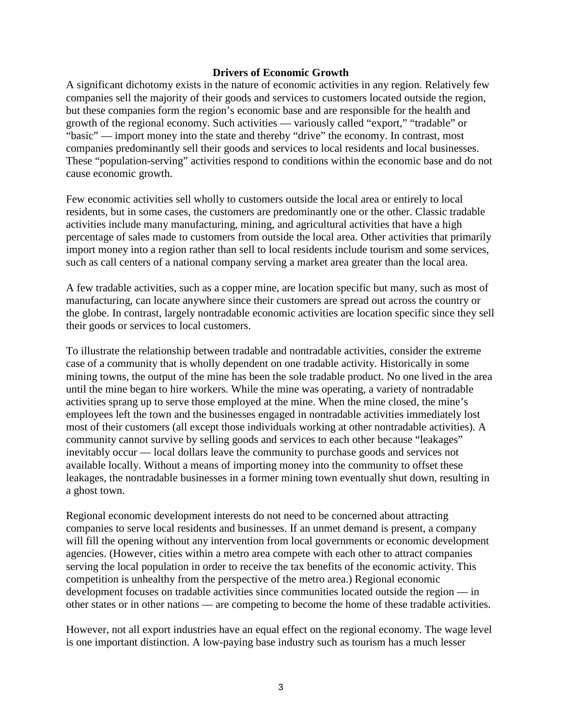#### **Drivers of Economic Growth**

A significant dichotomy exists in the nature of economic activities in any region. Relatively few companies sell the majority of their goods and services to customers located outside the region, but these companies form the region's economic base and are responsible for the health and growth of the regional economy. Such activities — variously called "export," "tradable" or "basic" — import money into the state and thereby "drive" the economy. In contrast, most companies predominantly sell their goods and services to local residents and local businesses. These "population-serving" activities respond to conditions within the economic base and do not cause economic growth.

Few economic activities sell wholly to customers outside the local area or entirely to local residents, but in some cases, the customers are predominantly one or the other. Classic tradable activities include many manufacturing, mining, and agricultural activities that have a high percentage of sales made to customers from outside the local area. Other activities that primarily import money into a region rather than sell to local residents include tourism and some services, such as call centers of a national company serving a market area greater than the local area.

A few tradable activities, such as a copper mine, are location specific but many, such as most of manufacturing, can locate anywhere since their customers are spread out across the country or the globe. In contrast, largely nontradable economic activities are location specific since they sell their goods or services to local customers.

To illustrate the relationship between tradable and nontradable activities, consider the extreme case of a community that is wholly dependent on one tradable activity. Historically in some mining towns, the output of the mine has been the sole tradable product. No one lived in the area until the mine began to hire workers. While the mine was operating, a variety of nontradable activities sprang up to serve those employed at the mine. When the mine closed, the mine's employees left the town and the businesses engaged in nontradable activities immediately lost most of their customers (all except those individuals working at other nontradable activities). A community cannot survive by selling goods and services to each other because "leakages" inevitably occur — local dollars leave the community to purchase goods and services not available locally. Without a means of importing money into the community to offset these leakages, the nontradable businesses in a former mining town eventually shut down, resulting in a ghost town.

Regional economic development interests do not need to be concerned about attracting companies to serve local residents and businesses. If an unmet demand is present, a company will fill the opening without any intervention from local governments or economic development agencies. (However, cities within a metro area compete with each other to attract companies serving the local population in order to receive the tax benefits of the economic activity. This competition is unhealthy from the perspective of the metro area.) Regional economic development focuses on tradable activities since communities located outside the region — in other states or in other nations — are competing to become the home of these tradable activities.

However, not all export industries have an equal effect on the regional economy. The wage level is one important distinction. A low-paying base industry such as tourism has a much lesser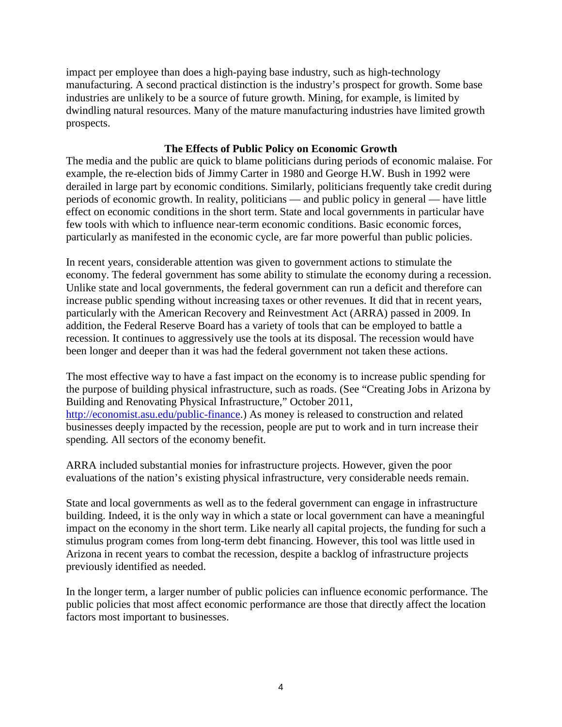impact per employee than does a high-paying base industry, such as high-technology manufacturing. A second practical distinction is the industry's prospect for growth. Some base industries are unlikely to be a source of future growth. Mining, for example, is limited by dwindling natural resources. Many of the mature manufacturing industries have limited growth prospects.

# **The Effects of Public Policy on Economic Growth**

The media and the public are quick to blame politicians during periods of economic malaise. For example, the re-election bids of Jimmy Carter in 1980 and George H.W. Bush in 1992 were derailed in large part by economic conditions. Similarly, politicians frequently take credit during periods of economic growth. In reality, politicians — and public policy in general — have little effect on economic conditions in the short term. State and local governments in particular have few tools with which to influence near-term economic conditions. Basic economic forces, particularly as manifested in the economic cycle, are far more powerful than public policies.

In recent years, considerable attention was given to government actions to stimulate the economy. The federal government has some ability to stimulate the economy during a recession. Unlike state and local governments, the federal government can run a deficit and therefore can increase public spending without increasing taxes or other revenues. It did that in recent years, particularly with the American Recovery and Reinvestment Act (ARRA) passed in 2009. In addition, the Federal Reserve Board has a variety of tools that can be employed to battle a recession. It continues to aggressively use the tools at its disposal. The recession would have been longer and deeper than it was had the federal government not taken these actions.

The most effective way to have a fast impact on the economy is to increase public spending for the purpose of building physical infrastructure, such as roads. (See "Creating Jobs in Arizona by Building and Renovating Physical Infrastructure," October 2011, [http://economist.asu.edu/public-finance.](http://economist.asu.edu/public-finance)) As money is released to construction and related businesses deeply impacted by the recession, people are put to work and in turn increase their spending. All sectors of the economy benefit.

ARRA included substantial monies for infrastructure projects. However, given the poor evaluations of the nation's existing physical infrastructure, very considerable needs remain.

State and local governments as well as to the federal government can engage in infrastructure building. Indeed, it is the only way in which a state or local government can have a meaningful impact on the economy in the short term. Like nearly all capital projects, the funding for such a stimulus program comes from long-term debt financing. However, this tool was little used in Arizona in recent years to combat the recession, despite a backlog of infrastructure projects previously identified as needed.

In the longer term, a larger number of public policies can influence economic performance. The public policies that most affect economic performance are those that directly affect the location factors most important to businesses.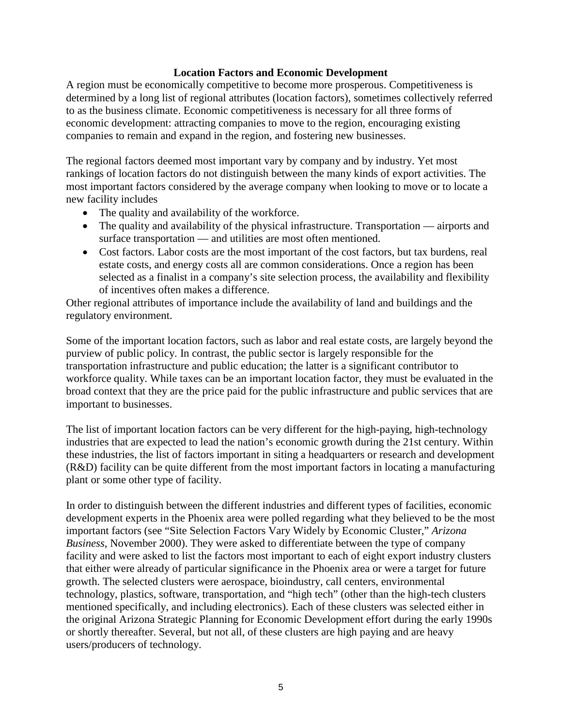# **Location Factors and Economic Development**

A region must be economically competitive to become more prosperous. Competitiveness is determined by a long list of regional attributes (location factors), sometimes collectively referred to as the business climate. Economic competitiveness is necessary for all three forms of economic development: attracting companies to move to the region, encouraging existing companies to remain and expand in the region, and fostering new businesses.

The regional factors deemed most important vary by company and by industry. Yet most rankings of location factors do not distinguish between the many kinds of export activities. The most important factors considered by the average company when looking to move or to locate a new facility includes

- The quality and availability of the workforce.
- The quality and availability of the physical infrastructure. Transportation airports and surface transportation — and utilities are most often mentioned.
- Cost factors. Labor costs are the most important of the cost factors, but tax burdens, real estate costs, and energy costs all are common considerations. Once a region has been selected as a finalist in a company's site selection process, the availability and flexibility of incentives often makes a difference.

Other regional attributes of importance include the availability of land and buildings and the regulatory environment.

Some of the important location factors, such as labor and real estate costs, are largely beyond the purview of public policy. In contrast, the public sector is largely responsible for the transportation infrastructure and public education; the latter is a significant contributor to workforce quality. While taxes can be an important location factor, they must be evaluated in the broad context that they are the price paid for the public infrastructure and public services that are important to businesses.

The list of important location factors can be very different for the high-paying, high-technology industries that are expected to lead the nation's economic growth during the 21st century. Within these industries, the list of factors important in siting a headquarters or research and development (R&D) facility can be quite different from the most important factors in locating a manufacturing plant or some other type of facility.

In order to distinguish between the different industries and different types of facilities, economic development experts in the Phoenix area were polled regarding what they believed to be the most important factors (see "Site Selection Factors Vary Widely by Economic Cluster," *Arizona Business*, November 2000). They were asked to differentiate between the type of company facility and were asked to list the factors most important to each of eight export industry clusters that either were already of particular significance in the Phoenix area or were a target for future growth. The selected clusters were aerospace, bioindustry, call centers, environmental technology, plastics, software, transportation, and "high tech" (other than the high-tech clusters mentioned specifically, and including electronics). Each of these clusters was selected either in the original Arizona Strategic Planning for Economic Development effort during the early 1990s or shortly thereafter. Several, but not all, of these clusters are high paying and are heavy users/producers of technology.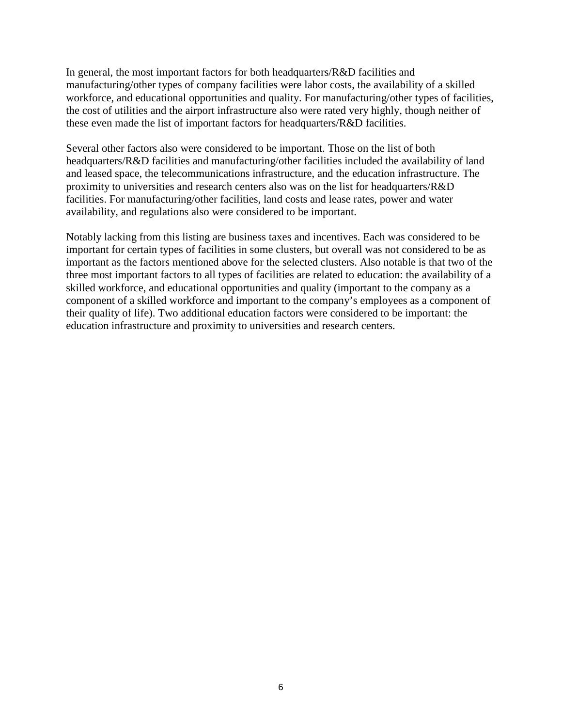In general, the most important factors for both headquarters/R&D facilities and manufacturing/other types of company facilities were labor costs, the availability of a skilled workforce, and educational opportunities and quality. For manufacturing/other types of facilities, the cost of utilities and the airport infrastructure also were rated very highly, though neither of these even made the list of important factors for headquarters/R&D facilities.

Several other factors also were considered to be important. Those on the list of both headquarters/R&D facilities and manufacturing/other facilities included the availability of land and leased space, the telecommunications infrastructure, and the education infrastructure. The proximity to universities and research centers also was on the list for headquarters/R&D facilities. For manufacturing/other facilities, land costs and lease rates, power and water availability, and regulations also were considered to be important.

Notably lacking from this listing are business taxes and incentives. Each was considered to be important for certain types of facilities in some clusters, but overall was not considered to be as important as the factors mentioned above for the selected clusters. Also notable is that two of the three most important factors to all types of facilities are related to education: the availability of a skilled workforce, and educational opportunities and quality (important to the company as a component of a skilled workforce and important to the company's employees as a component of their quality of life). Two additional education factors were considered to be important: the education infrastructure and proximity to universities and research centers.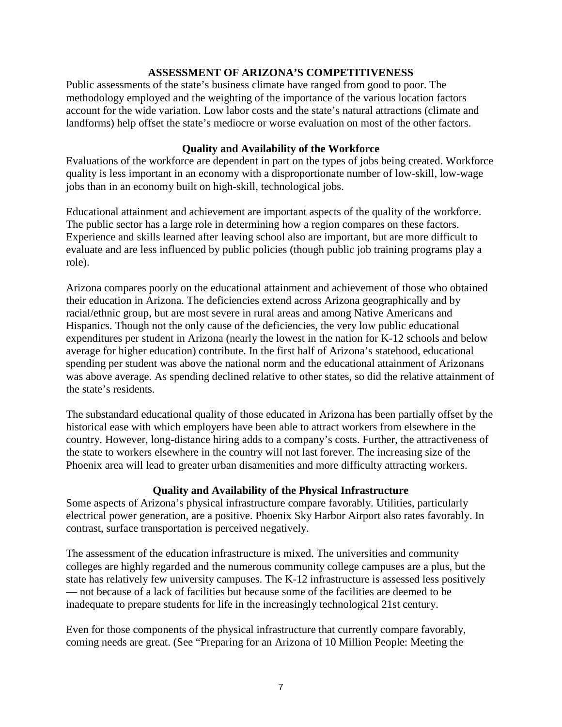# **ASSESSMENT OF ARIZONA'S COMPETITIVENESS**

Public assessments of the state's business climate have ranged from good to poor. The methodology employed and the weighting of the importance of the various location factors account for the wide variation. Low labor costs and the state's natural attractions (climate and landforms) help offset the state's mediocre or worse evaluation on most of the other factors.

## **Quality and Availability of the Workforce**

Evaluations of the workforce are dependent in part on the types of jobs being created. Workforce quality is less important in an economy with a disproportionate number of low-skill, low-wage jobs than in an economy built on high-skill, technological jobs.

Educational attainment and achievement are important aspects of the quality of the workforce. The public sector has a large role in determining how a region compares on these factors. Experience and skills learned after leaving school also are important, but are more difficult to evaluate and are less influenced by public policies (though public job training programs play a role).

Arizona compares poorly on the educational attainment and achievement of those who obtained their education in Arizona. The deficiencies extend across Arizona geographically and by racial/ethnic group, but are most severe in rural areas and among Native Americans and Hispanics. Though not the only cause of the deficiencies, the very low public educational expenditures per student in Arizona (nearly the lowest in the nation for K-12 schools and below average for higher education) contribute. In the first half of Arizona's statehood, educational spending per student was above the national norm and the educational attainment of Arizonans was above average. As spending declined relative to other states, so did the relative attainment of the state's residents.

The substandard educational quality of those educated in Arizona has been partially offset by the historical ease with which employers have been able to attract workers from elsewhere in the country. However, long-distance hiring adds to a company's costs. Further, the attractiveness of the state to workers elsewhere in the country will not last forever. The increasing size of the Phoenix area will lead to greater urban disamenities and more difficulty attracting workers.

### **Quality and Availability of the Physical Infrastructure**

Some aspects of Arizona's physical infrastructure compare favorably. Utilities, particularly electrical power generation, are a positive. Phoenix Sky Harbor Airport also rates favorably. In contrast, surface transportation is perceived negatively.

The assessment of the education infrastructure is mixed. The universities and community colleges are highly regarded and the numerous community college campuses are a plus, but the state has relatively few university campuses. The K-12 infrastructure is assessed less positively — not because of a lack of facilities but because some of the facilities are deemed to be inadequate to prepare students for life in the increasingly technological 21st century.

Even for those components of the physical infrastructure that currently compare favorably, coming needs are great. (See "Preparing for an Arizona of 10 Million People: Meeting the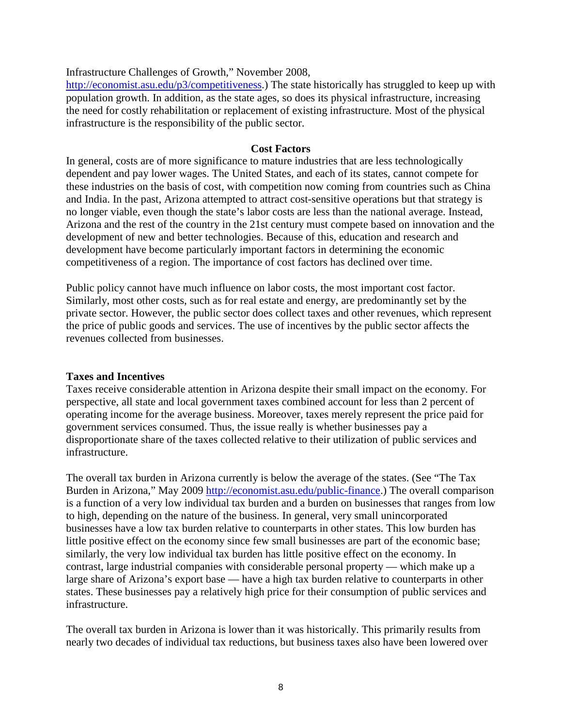Infrastructure Challenges of Growth," November 2008,

[http://economist.asu.edu/p3/competitiveness.](http://economist.asu.edu/p3/competitiveness)) The state historically has struggled to keep up with population growth. In addition, as the state ages, so does its physical infrastructure, increasing the need for costly rehabilitation or replacement of existing infrastructure. Most of the physical infrastructure is the responsibility of the public sector.

#### **Cost Factors**

In general, costs are of more significance to mature industries that are less technologically dependent and pay lower wages. The United States, and each of its states, cannot compete for these industries on the basis of cost, with competition now coming from countries such as China and India. In the past, Arizona attempted to attract cost-sensitive operations but that strategy is no longer viable, even though the state's labor costs are less than the national average. Instead, Arizona and the rest of the country in the 21st century must compete based on innovation and the development of new and better technologies. Because of this, education and research and development have become particularly important factors in determining the economic competitiveness of a region. The importance of cost factors has declined over time.

Public policy cannot have much influence on labor costs, the most important cost factor. Similarly, most other costs, such as for real estate and energy, are predominantly set by the private sector. However, the public sector does collect taxes and other revenues, which represent the price of public goods and services. The use of incentives by the public sector affects the revenues collected from businesses.

### **Taxes and Incentives**

Taxes receive considerable attention in Arizona despite their small impact on the economy. For perspective, all state and local government taxes combined account for less than 2 percent of operating income for the average business. Moreover, taxes merely represent the price paid for government services consumed. Thus, the issue really is whether businesses pay a disproportionate share of the taxes collected relative to their utilization of public services and infrastructure.

The overall tax burden in Arizona currently is below the average of the states. (See "The Tax Burden in Arizona," May 2009 [http://economist.asu.edu/public-finance.](http://economist.asu.edu/public-finance)) The overall comparison is a function of a very low individual tax burden and a burden on businesses that ranges from low to high, depending on the nature of the business. In general, very small unincorporated businesses have a low tax burden relative to counterparts in other states. This low burden has little positive effect on the economy since few small businesses are part of the economic base; similarly, the very low individual tax burden has little positive effect on the economy. In contrast, large industrial companies with considerable personal property — which make up a large share of Arizona's export base — have a high tax burden relative to counterparts in other states. These businesses pay a relatively high price for their consumption of public services and infrastructure.

The overall tax burden in Arizona is lower than it was historically. This primarily results from nearly two decades of individual tax reductions, but business taxes also have been lowered over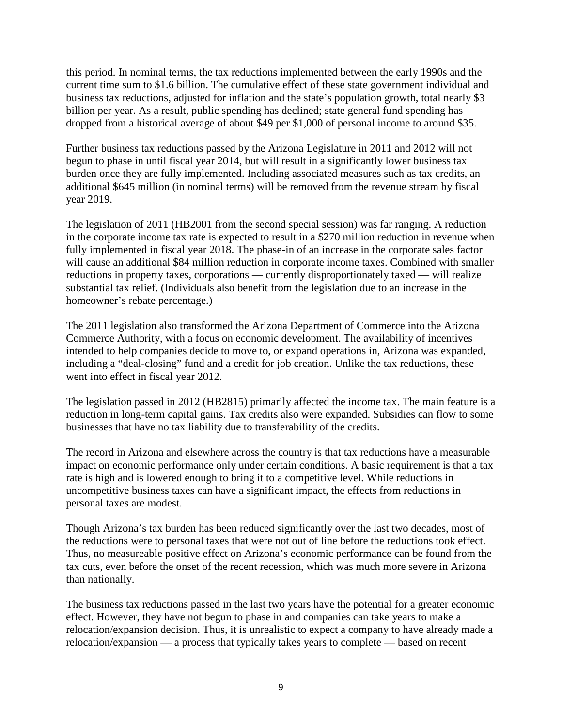this period. In nominal terms, the tax reductions implemented between the early 1990s and the current time sum to \$1.6 billion. The cumulative effect of these state government individual and business tax reductions, adjusted for inflation and the state's population growth, total nearly \$3 billion per year. As a result, public spending has declined; state general fund spending has dropped from a historical average of about \$49 per \$1,000 of personal income to around \$35.

Further business tax reductions passed by the Arizona Legislature in 2011 and 2012 will not begun to phase in until fiscal year 2014, but will result in a significantly lower business tax burden once they are fully implemented. Including associated measures such as tax credits, an additional \$645 million (in nominal terms) will be removed from the revenue stream by fiscal year 2019.

The legislation of 2011 (HB2001 from the second special session) was far ranging. A reduction in the corporate income tax rate is expected to result in a \$270 million reduction in revenue when fully implemented in fiscal year 2018. The phase-in of an increase in the corporate sales factor will cause an additional \$84 million reduction in corporate income taxes. Combined with smaller reductions in property taxes, corporations — currently disproportionately taxed — will realize substantial tax relief. (Individuals also benefit from the legislation due to an increase in the homeowner's rebate percentage.)

The 2011 legislation also transformed the Arizona Department of Commerce into the Arizona Commerce Authority, with a focus on economic development. The availability of incentives intended to help companies decide to move to, or expand operations in, Arizona was expanded, including a "deal-closing" fund and a credit for job creation. Unlike the tax reductions, these went into effect in fiscal year 2012.

The legislation passed in 2012 (HB2815) primarily affected the income tax. The main feature is a reduction in long-term capital gains. Tax credits also were expanded. Subsidies can flow to some businesses that have no tax liability due to transferability of the credits.

The record in Arizona and elsewhere across the country is that tax reductions have a measurable impact on economic performance only under certain conditions. A basic requirement is that a tax rate is high and is lowered enough to bring it to a competitive level. While reductions in uncompetitive business taxes can have a significant impact, the effects from reductions in personal taxes are modest.

Though Arizona's tax burden has been reduced significantly over the last two decades, most of the reductions were to personal taxes that were not out of line before the reductions took effect. Thus, no measureable positive effect on Arizona's economic performance can be found from the tax cuts, even before the onset of the recent recession, which was much more severe in Arizona than nationally.

The business tax reductions passed in the last two years have the potential for a greater economic effect. However, they have not begun to phase in and companies can take years to make a relocation/expansion decision. Thus, it is unrealistic to expect a company to have already made a relocation/expansion — a process that typically takes years to complete — based on recent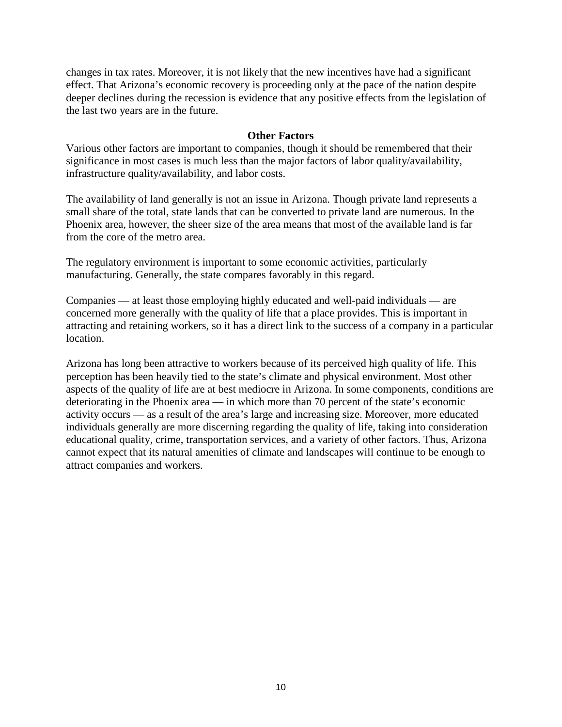changes in tax rates. Moreover, it is not likely that the new incentives have had a significant effect. That Arizona's economic recovery is proceeding only at the pace of the nation despite deeper declines during the recession is evidence that any positive effects from the legislation of the last two years are in the future.

#### **Other Factors**

Various other factors are important to companies, though it should be remembered that their significance in most cases is much less than the major factors of labor quality/availability, infrastructure quality/availability, and labor costs.

The availability of land generally is not an issue in Arizona. Though private land represents a small share of the total, state lands that can be converted to private land are numerous. In the Phoenix area, however, the sheer size of the area means that most of the available land is far from the core of the metro area.

The regulatory environment is important to some economic activities, particularly manufacturing. Generally, the state compares favorably in this regard.

Companies — at least those employing highly educated and well-paid individuals — are concerned more generally with the quality of life that a place provides. This is important in attracting and retaining workers, so it has a direct link to the success of a company in a particular location.

Arizona has long been attractive to workers because of its perceived high quality of life. This perception has been heavily tied to the state's climate and physical environment. Most other aspects of the quality of life are at best mediocre in Arizona. In some components, conditions are deteriorating in the Phoenix area — in which more than 70 percent of the state's economic activity occurs — as a result of the area's large and increasing size. Moreover, more educated individuals generally are more discerning regarding the quality of life, taking into consideration educational quality, crime, transportation services, and a variety of other factors. Thus, Arizona cannot expect that its natural amenities of climate and landscapes will continue to be enough to attract companies and workers.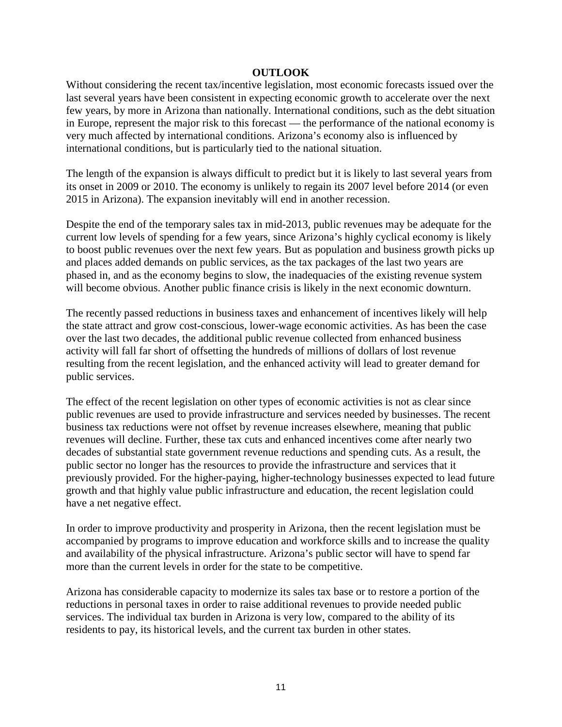### **OUTLOOK**

Without considering the recent tax/incentive legislation, most economic forecasts issued over the last several years have been consistent in expecting economic growth to accelerate over the next few years, by more in Arizona than nationally. International conditions, such as the debt situation in Europe, represent the major risk to this forecast — the performance of the national economy is very much affected by international conditions. Arizona's economy also is influenced by international conditions, but is particularly tied to the national situation.

The length of the expansion is always difficult to predict but it is likely to last several years from its onset in 2009 or 2010. The economy is unlikely to regain its 2007 level before 2014 (or even 2015 in Arizona). The expansion inevitably will end in another recession.

Despite the end of the temporary sales tax in mid-2013, public revenues may be adequate for the current low levels of spending for a few years, since Arizona's highly cyclical economy is likely to boost public revenues over the next few years. But as population and business growth picks up and places added demands on public services, as the tax packages of the last two years are phased in, and as the economy begins to slow, the inadequacies of the existing revenue system will become obvious. Another public finance crisis is likely in the next economic downturn.

The recently passed reductions in business taxes and enhancement of incentives likely will help the state attract and grow cost-conscious, lower-wage economic activities. As has been the case over the last two decades, the additional public revenue collected from enhanced business activity will fall far short of offsetting the hundreds of millions of dollars of lost revenue resulting from the recent legislation, and the enhanced activity will lead to greater demand for public services.

The effect of the recent legislation on other types of economic activities is not as clear since public revenues are used to provide infrastructure and services needed by businesses. The recent business tax reductions were not offset by revenue increases elsewhere, meaning that public revenues will decline. Further, these tax cuts and enhanced incentives come after nearly two decades of substantial state government revenue reductions and spending cuts. As a result, the public sector no longer has the resources to provide the infrastructure and services that it previously provided. For the higher-paying, higher-technology businesses expected to lead future growth and that highly value public infrastructure and education, the recent legislation could have a net negative effect.

In order to improve productivity and prosperity in Arizona, then the recent legislation must be accompanied by programs to improve education and workforce skills and to increase the quality and availability of the physical infrastructure. Arizona's public sector will have to spend far more than the current levels in order for the state to be competitive.

Arizona has considerable capacity to modernize its sales tax base or to restore a portion of the reductions in personal taxes in order to raise additional revenues to provide needed public services. The individual tax burden in Arizona is very low, compared to the ability of its residents to pay, its historical levels, and the current tax burden in other states.